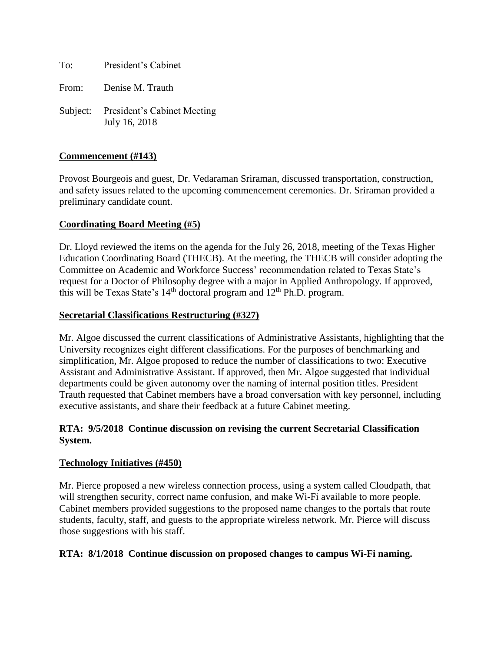To: President's Cabinet

From: Denise M. Trauth

Subject: President's Cabinet Meeting July 16, 2018

### **Commencement (#143)**

Provost Bourgeois and guest, Dr. Vedaraman Sriraman, discussed transportation, construction, and safety issues related to the upcoming commencement ceremonies. Dr. Sriraman provided a preliminary candidate count.

### **Coordinating Board Meeting (#5)**

Dr. Lloyd reviewed the items on the agenda for the July 26, 2018, meeting of the Texas Higher Education Coordinating Board (THECB). At the meeting, the THECB will consider adopting the Committee on Academic and Workforce Success' recommendation related to Texas State's request for a Doctor of Philosophy degree with a major in Applied Anthropology. If approved, this will be Texas State's  $14<sup>th</sup>$  doctoral program and  $12<sup>th</sup>$  Ph.D. program.

### **Secretarial Classifications Restructuring (#327)**

Mr. Algoe discussed the current classifications of Administrative Assistants, highlighting that the University recognizes eight different classifications. For the purposes of benchmarking and simplification, Mr. Algoe proposed to reduce the number of classifications to two: Executive Assistant and Administrative Assistant. If approved, then Mr. Algoe suggested that individual departments could be given autonomy over the naming of internal position titles. President Trauth requested that Cabinet members have a broad conversation with key personnel, including executive assistants, and share their feedback at a future Cabinet meeting.

### **RTA: 9/5/2018 Continue discussion on revising the current Secretarial Classification System.**

### **Technology Initiatives (#450)**

Mr. Pierce proposed a new wireless connection process, using a system called Cloudpath, that will strengthen security, correct name confusion, and make Wi-Fi available to more people. Cabinet members provided suggestions to the proposed name changes to the portals that route students, faculty, staff, and guests to the appropriate wireless network. Mr. Pierce will discuss those suggestions with his staff.

### **RTA: 8/1/2018 Continue discussion on proposed changes to campus Wi-Fi naming.**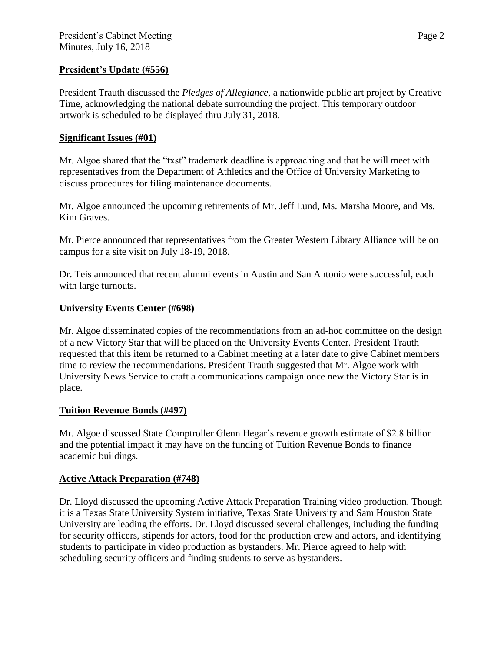## **President's Update (#556)**

President Trauth discussed the *Pledges of Allegiance*, a nationwide public art project by Creative Time, acknowledging the national debate surrounding the project. This temporary outdoor artwork is scheduled to be displayed thru July 31, 2018.

### **Significant Issues (#01)**

Mr. Algoe shared that the "txst" trademark deadline is approaching and that he will meet with representatives from the Department of Athletics and the Office of University Marketing to discuss procedures for filing maintenance documents.

Mr. Algoe announced the upcoming retirements of Mr. Jeff Lund, Ms. Marsha Moore, and Ms. Kim Graves.

Mr. Pierce announced that representatives from the Greater Western Library Alliance will be on campus for a site visit on July 18-19, 2018.

Dr. Teis announced that recent alumni events in Austin and San Antonio were successful, each with large turnouts.

### **University Events Center (#698)**

Mr. Algoe disseminated copies of the recommendations from an ad-hoc committee on the design of a new Victory Star that will be placed on the University Events Center. President Trauth requested that this item be returned to a Cabinet meeting at a later date to give Cabinet members time to review the recommendations. President Trauth suggested that Mr. Algoe work with University News Service to craft a communications campaign once new the Victory Star is in place.

### **Tuition Revenue Bonds (#497)**

Mr. Algoe discussed State Comptroller Glenn Hegar's revenue growth estimate of \$2.8 billion and the potential impact it may have on the funding of Tuition Revenue Bonds to finance academic buildings.

## **Active Attack Preparation (#748)**

Dr. Lloyd discussed the upcoming Active Attack Preparation Training video production. Though it is a Texas State University System initiative, Texas State University and Sam Houston State University are leading the efforts. Dr. Lloyd discussed several challenges, including the funding for security officers, stipends for actors, food for the production crew and actors, and identifying students to participate in video production as bystanders. Mr. Pierce agreed to help with scheduling security officers and finding students to serve as bystanders.